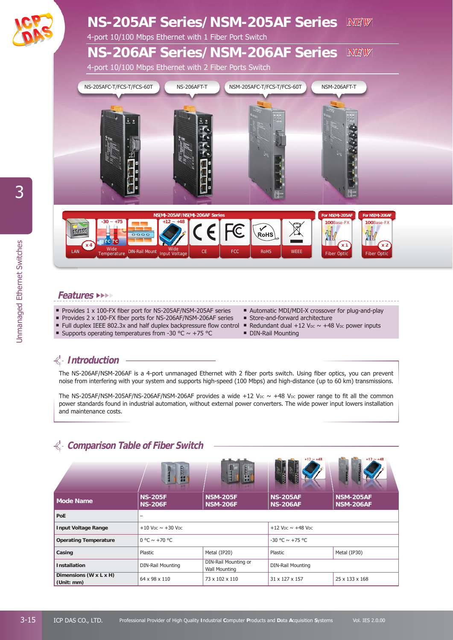

## **Features** ►►►►

- Provides 1 x 100-FX fiber port for NS-205AF/NSM-205AF series
- Provides 2 x 100-FX fiber ports for NS-206AF/NSM-206AF series
- If Full duplex IEEE 802.3x and half duplex backpressure flow control  $\blacksquare$  Redundant dual +12 V<sub>DC</sub>  $\sim$  +48 V<sub>DC</sub> power inputs
- Supports operating temperatures from -30 °C  $\sim$  +75 °C
- Automatic MDI/MDI-X crossover for plug-and-play
- Store-and-forward architecture
- 
- **DIN-Rail Mounting**

## **Introduction**

The NS-206AF/NSM-206AF is a 4-port unmanaged Ethernet with 2 fiber ports switch. Using fiber optics, you can prevent noise from interfering with your system and supports high-speed (100 Mbps) and high-distance (up to 60 km) transmissions.

The NS-205AF/NSM-205AF/NS-206AF/NSM-206AF provides a wide  $+12$  V<sub>DC</sub>  $\sim$  +48 V<sub>DC</sub> power range to fit all the common power standards found in industrial automation, without external power converters. The wide power input lowers installation and maintenance costs.

## **Comparison Table of Fiber Switch**

|                                      | $rac{1}{2}$                                      | <b>Read</b>                                  | $+12 \approx +48$<br>R                           | $+12 \approx +48$                    |  |
|--------------------------------------|--------------------------------------------------|----------------------------------------------|--------------------------------------------------|--------------------------------------|--|
| <b>Mode Name</b>                     | <b>NS-205F</b><br><b>NS-206F</b>                 | <b>NSM-205F</b><br><b>NSM-206F</b>           | <b>NS-205AF</b><br><b>NS-206AF</b>               | <b>NSM-205AF</b><br><b>NSM-206AF</b> |  |
| PoE                                  |                                                  |                                              |                                                  |                                      |  |
| <b>Input Voltage Range</b>           | $+10$ V <sub>DC</sub> $\sim +30$ V <sub>DC</sub> |                                              | $+12$ V <sub>DC</sub> $\sim$ +48 V <sub>DC</sub> |                                      |  |
| <b>Operating Temperature</b>         | $0 °C \sim +70 °C$                               |                                              | $-30$ °C $\sim +75$ °C                           |                                      |  |
| Casing                               | Plastic                                          | Metal (IP20)                                 | Plastic                                          | Metal (IP30)                         |  |
| <b>Installation</b>                  | <b>DIN-Rail Mounting</b>                         | DIN-Rail Mounting or<br><b>Wall Mounting</b> | <b>DIN-Rail Mounting</b>                         |                                      |  |
| Dimensions (W x L x H)<br>(Unit: mm) | 64 x 98 x 110                                    | 73 x 102 x 110                               | 31 x 127 x 157                                   | 25 x 133 x 168                       |  |